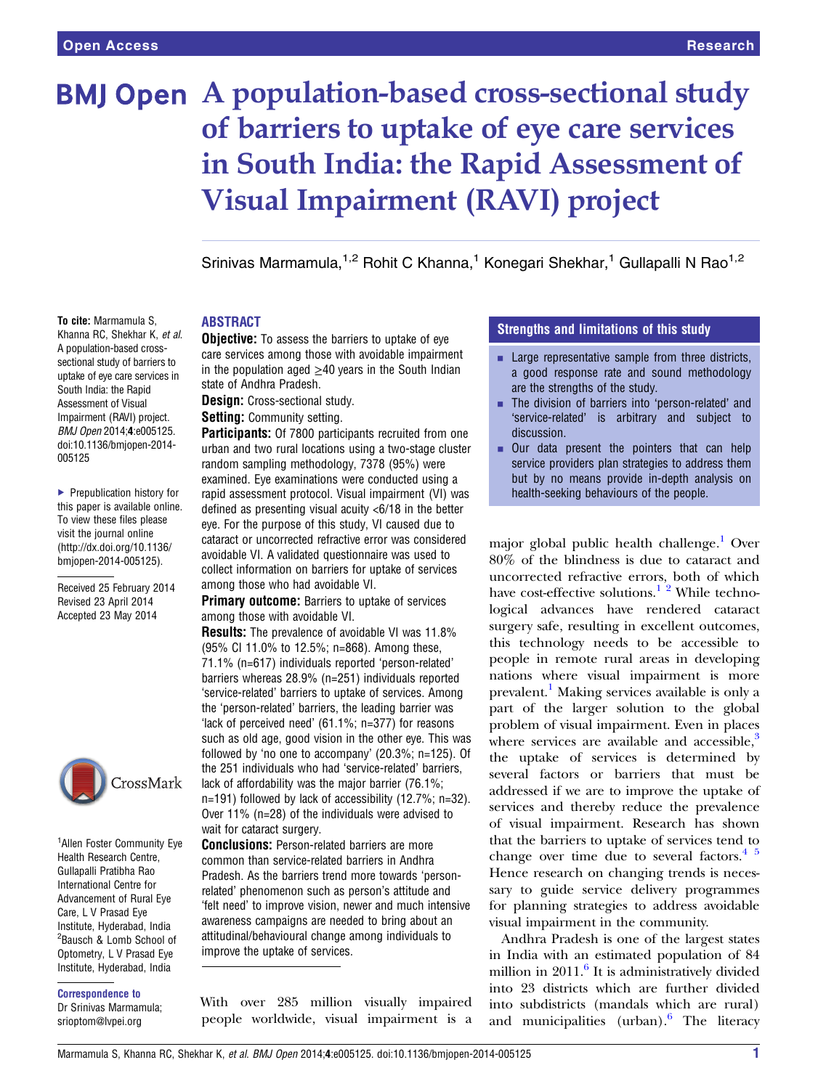# **BMJ Open** A population-based cross-sectional study of barriers to uptake of eye care services in South India: the Rapid Assessment of Visual Impairment (RAVI) project

Srinivas Marmamula,<sup>1,2</sup> Rohit C Khanna,<sup>1</sup> Konegari Shekhar,<sup>1</sup> Gullapalli N Rao<sup>1,2</sup>

To cite: Marmamula S, Khanna RC, Shekhar K, et al. A population-based crosssectional study of barriers to uptake of eye care services in South India: the Rapid Assessment of Visual Impairment (RAVI) project. BMJ Open 2014;4:e005125. doi:10.1136/bmjopen-2014- 005125

▶ Prepublication history for this paper is available online. To view these files please visit the journal online [\(http://dx.doi.org/10.1136/](http://dx.doi.org/10.1136/bmjopen-2014-005125) [bmjopen-2014-005125](http://dx.doi.org/10.1136/bmjopen-2014-005125)).

Received 25 February 2014 Revised 23 April 2014 Accepted 23 May 2014



<sup>1</sup> Allen Foster Community Eye Health Research Centre, Gullapalli Pratibha Rao International Centre for Advancement of Rural Eye Care, L V Prasad Eye Institute, Hyderabad, India <sup>2</sup>Bausch & Lomb School of Optometry, L V Prasad Eye Institute, Hyderabad, India

# Correspondence to

Dr Srinivas Marmamula; srioptom@lvpei.org

## ABSTRACT

**Objective:** To assess the barriers to uptake of eye care services among those with avoidable impairment in the population aged  $\geq$ 40 years in the South Indian state of Andhra Pradesh.

Design: Cross-sectional study.

Setting: Community setting.

Participants: Of 7800 participants recruited from one urban and two rural locations using a two-stage cluster random sampling methodology, 7378 (95%) were examined. Eye examinations were conducted using a rapid assessment protocol. Visual impairment (VI) was defined as presenting visual acuity <6/18 in the better eye. For the purpose of this study, VI caused due to cataract or uncorrected refractive error was considered avoidable VI. A validated questionnaire was used to collect information on barriers for uptake of services among those who had avoidable VI.

**Primary outcome:** Barriers to uptake of services among those with avoidable VI.

Results: The prevalence of avoidable VI was 11.8% (95% CI 11.0% to 12.5%; n=868). Among these, 71.1% (n=617) individuals reported 'person-related' barriers whereas 28.9% (n=251) individuals reported 'service-related' barriers to uptake of services. Among the 'person-related' barriers, the leading barrier was 'lack of perceived need' (61.1%; n=377) for reasons such as old age, good vision in the other eye. This was followed by 'no one to accompany' (20.3%; n=125). Of the 251 individuals who had 'service-related' barriers, lack of affordability was the major barrier (76.1%; n=191) followed by lack of accessibility (12.7%; n=32). Over 11% (n=28) of the individuals were advised to wait for cataract surgery.

**Conclusions:** Person-related barriers are more common than service-related barriers in Andhra Pradesh. As the barriers trend more towards 'personrelated' phenomenon such as person's attitude and 'felt need' to improve vision, newer and much intensive awareness campaigns are needed to bring about an attitudinal/behavioural change among individuals to improve the uptake of services.

With over 285 million visually impaired people worldwide, visual impairment is a

# **Strengths and limitations of this study**

- $\blacksquare$  Large representative sample from three districts, a good response rate and sound methodology are the strengths of the study.
- The division of barriers into 'person-related' and 'service-related' is arbitrary and subject to discussion.
- **. Our data present the pointers that can help** service providers plan strategies to address them but by no means provide in-depth analysis on health-seeking behaviours of the people.

major global public health challenge.<sup>1</sup> Over 80% of the blindness is due to cataract and uncorrected refractive errors, both of which have cost-effective solutions.<sup>1</sup> <sup>2</sup> While technological advances have rendered cataract surgery safe, resulting in excellent outcomes, this technology needs to be accessible to people in remote rural areas in developing nations where visual impairment is more prevalent.<sup>[1](#page-4-0)</sup> Making services available is only a part of the larger solution to the global problem of visual impairment. Even in places where services are available and accessible, $3$ the uptake of services is determined by several factors or barriers that must be addressed if we are to improve the uptake of services and thereby reduce the prevalence of visual impairment. Research has shown that the barriers to uptake of services tend to change over time due to several factors. $4^{5}$ Hence research on changing trends is necessary to guide service delivery programmes for planning strategies to address avoidable visual impairment in the community.

Andhra Pradesh is one of the largest states in India with an estimated population of 84 million in  $2011<sup>6</sup>$  $2011<sup>6</sup>$  $2011<sup>6</sup>$  It is administratively divided into 23 districts which are further divided into subdistricts (mandals which are rural) and municipalities (urban). $6$  The literacy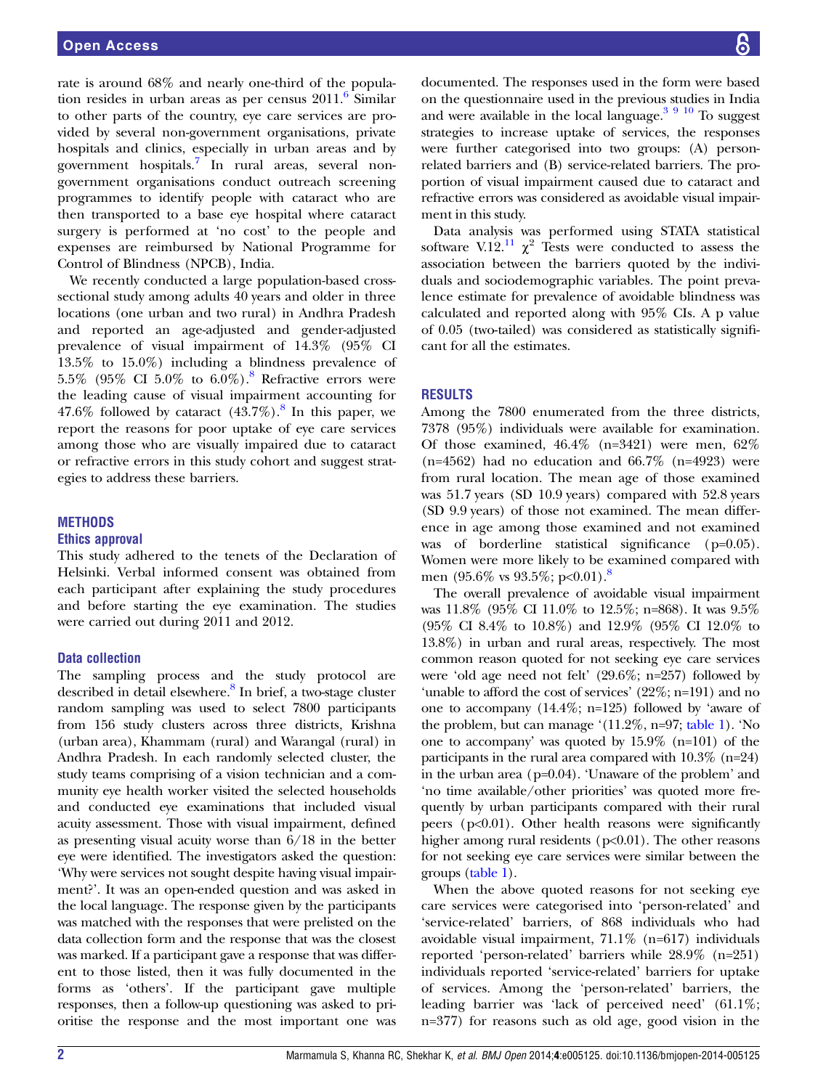rate is around 68% and nearly one-third of the population resides in urban areas as per census  $2011$ .<sup>6</sup> Similar to other parts of the country, eye care services are provided by several non-government organisations, private hospitals and clinics, especially in urban areas and by government hospitals.[7](#page-4-0) In rural areas, several nongovernment organisations conduct outreach screening programmes to identify people with cataract who are then transported to a base eye hospital where cataract surgery is performed at 'no cost' to the people and expenses are reimbursed by National Programme for Control of Blindness (NPCB), India.

We recently conducted a large population-based crosssectional study among adults 40 years and older in three locations (one urban and two rural) in Andhra Pradesh and reported an age-adjusted and gender-adjusted prevalence of visual impairment of 14.3% (95% CI 13.5% to 15.0%) including a blindness prevalence of 5.5% (95% CI 5.0% to 6.0%).<sup>[8](#page-4-0)</sup> Refractive errors were the leading cause of visual impairment accounting for 47.6% followed by cataract  $(43.7\%)$ .<sup>[8](#page-4-0)</sup> In this paper, we report the reasons for poor uptake of eye care services among those who are visually impaired due to cataract or refractive errors in this study cohort and suggest strategies to address these barriers.

#### **METHODS**

#### Ethics approval

This study adhered to the tenets of the Declaration of Helsinki. Verbal informed consent was obtained from each participant after explaining the study procedures and before starting the eye examination. The studies were carried out during 2011 and 2012.

#### Data collection

The sampling process and the study protocol are described in detail elsewhere.<sup>[8](#page-4-0)</sup> In brief, a two-stage cluster random sampling was used to select 7800 participants from 156 study clusters across three districts, Krishna (urban area), Khammam (rural) and Warangal (rural) in Andhra Pradesh. In each randomly selected cluster, the study teams comprising of a vision technician and a community eye health worker visited the selected households and conducted eye examinations that included visual acuity assessment. Those with visual impairment, defined as presenting visual acuity worse than 6/18 in the better eye were identified. The investigators asked the question: 'Why were services not sought despite having visual impairment?'. It was an open-ended question and was asked in the local language. The response given by the participants was matched with the responses that were prelisted on the data collection form and the response that was the closest was marked. If a participant gave a response that was different to those listed, then it was fully documented in the forms as 'others'. If the participant gave multiple responses, then a follow-up questioning was asked to prioritise the response and the most important one was documented. The responses used in the form were based on the questionnaire used in the previous studies in India and were available in the local language. $3910$  To suggest strategies to increase uptake of services, the responses were further categorised into two groups: (A) personrelated barriers and (B) service-related barriers. The proportion of visual impairment caused due to cataract and refractive errors was considered as avoidable visual impairment in this study.

Data analysis was performed using STATA statistical software V.12.<sup>11</sup>  $\chi^2$  Tests were conducted to assess the association between the barriers quoted by the individuals and sociodemographic variables. The point prevalence estimate for prevalence of avoidable blindness was calculated and reported along with 95% CIs. A p value of 0.05 (two-tailed) was considered as statistically significant for all the estimates.

#### RESULTS

Among the 7800 enumerated from the three districts, 7378 (95%) individuals were available for examination. Of those examined, 46.4% (n=3421) were men, 62% (n=4562) had no education and  $66.7\%$  (n=4923) were from rural location. The mean age of those examined was 51.7 years (SD 10.9 years) compared with 52.8 years (SD 9.9 years) of those not examined. The mean difference in age among those examined and not examined was of borderline statistical significance (p=0.05). Women were more likely to be examined compared with men (95.6% vs 93.5%; p<0.01).<sup>[8](#page-4-0)</sup>

The overall prevalence of avoidable visual impairment was 11.8% (95% CI 11.0% to 12.5%; n=868). It was 9.5% (95% CI 8.4% to 10.8%) and 12.9% (95% CI 12.0% to 13.8%) in urban and rural areas, respectively. The most common reason quoted for not seeking eye care services were 'old age need not felt' (29.6%; n=257) followed by 'unable to afford the cost of services' (22%; n=191) and no one to accompany (14.4%; n=125) followed by 'aware of the problem, but can manage ' $(11.2\%, n=97;$  [table 1](#page-2-0)). 'No one to accompany' was quoted by 15.9% (n=101) of the participants in the rural area compared with 10.3% (n=24) in the urban area (p=0.04). 'Unaware of the problem' and 'no time available/other priorities' was quoted more frequently by urban participants compared with their rural peers ( $p<0.01$ ). Other health reasons were significantly higher among rural residents ( $p<0.01$ ). The other reasons for not seeking eye care services were similar between the groups [\(table 1\)](#page-2-0).

When the above quoted reasons for not seeking eye care services were categorised into 'person-related' and 'service-related' barriers, of 868 individuals who had avoidable visual impairment, 71.1% (n=617) individuals reported 'person-related' barriers while 28.9% (n=251) individuals reported 'service-related' barriers for uptake of services. Among the 'person-related' barriers, the leading barrier was 'lack of perceived need' (61.1%; n=377) for reasons such as old age, good vision in the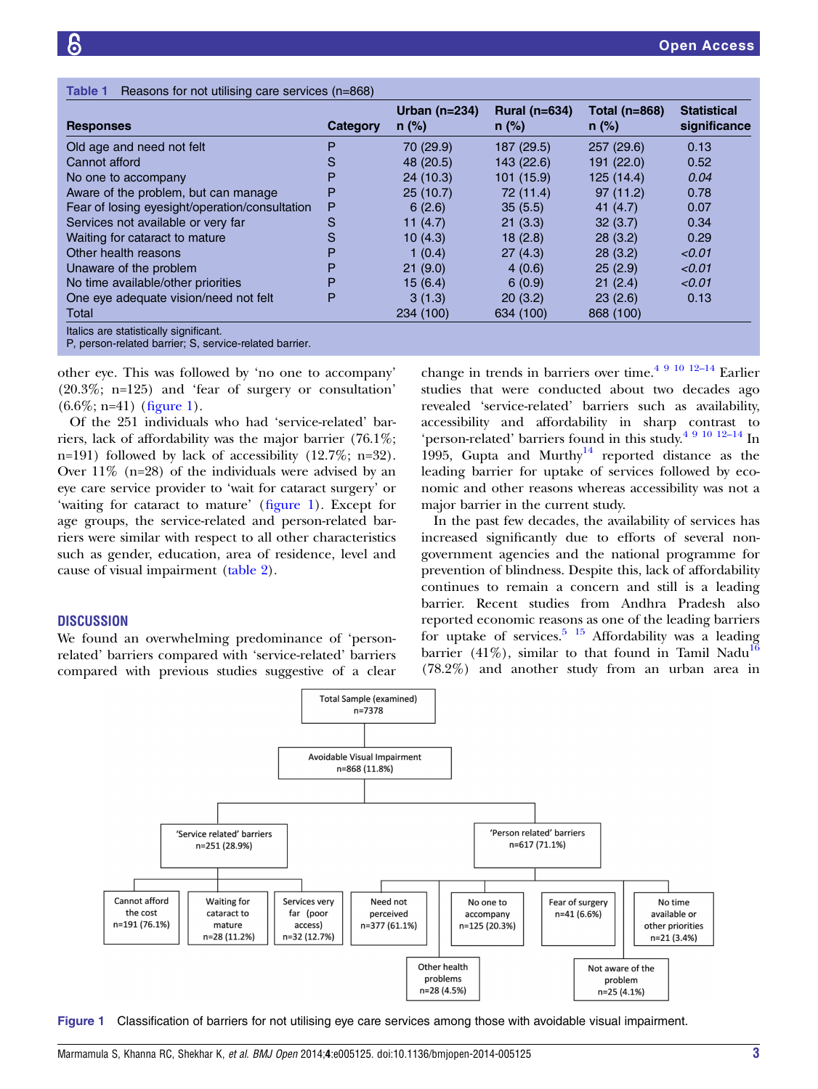<span id="page-2-0"></span>

| <b>Responses</b>                               | Category | Urban $(n=234)$<br>$n$ (%) | <b>Rural (n=634)</b><br>$n$ (%) | Total (n=868)<br>$n$ (%) | <b>Statistical</b><br>significance |
|------------------------------------------------|----------|----------------------------|---------------------------------|--------------------------|------------------------------------|
| Old age and need not felt                      | Р        | 70 (29.9)                  | 187 (29.5)                      | 257(29.6)                | 0.13                               |
| Cannot afford                                  | S        | 48 (20.5)                  | 143 (22.6)                      | 191 (22.0)               | 0.52                               |
| No one to accompany                            | Р        | 24(10.3)                   | 101 (15.9)                      | 125(14.4)                | 0.04                               |
| Aware of the problem, but can manage           | Р        | 25(10.7)                   | 72 (11.4)                       | 97(11.2)                 | 0.78                               |
| Fear of losing eyesight/operation/consultation | P        | 6(2.6)                     | 35(5.5)                         | 41 $(4.7)$               | 0.07                               |
| Services not available or very far             | S        | 11 (4.7)                   | 21(3.3)                         | 32(3.7)                  | 0.34                               |
| Waiting for cataract to mature                 | S        | 10(4.3)                    | 18(2.8)                         | 28(3.2)                  | 0.29                               |
| Other health reasons                           | Р        | 1(0.4)                     | 27(4.3)                         | 28(3.2)                  | < 0.01                             |
| Unaware of the problem                         | Р        | 21(9.0)                    | 4(0.6)                          | 25(2.9)                  | < 0.01                             |
| No time available/other priorities             | Р        | 15(6.4)                    | 6(0.9)                          | 21(2.4)                  | < 0.01                             |
| One eye adequate vision/need not felt          | Р        | 3(1.3)                     | 20(3.2)                         | 23(2.6)                  | 0.13                               |
| Total                                          |          | 234 (100)                  | 634 (100)                       | 868 (100)                |                                    |

other eye. This was followed by 'no one to accompany' (20.3%; n=125) and 'fear of surgery or consultation'  $(6.6\%; n=41)$  (figure 1).

Of the 251 individuals who had 'service-related' barriers, lack of affordability was the major barrier (76.1%; n=191) followed by lack of accessibility (12.7%; n=32). Over  $11\%$  (n=28) of the individuals were advised by an eye care service provider to 'wait for cataract surgery' or 'waiting for cataract to mature' (figure 1). Except for age groups, the service-related and person-related barriers were similar with respect to all other characteristics such as gender, education, area of residence, level and cause of visual impairment ([table 2](#page-3-0)).

### **DISCUSSION**

We found an overwhelming predominance of 'personrelated' barriers compared with 'service-related' barriers compared with previous studies suggestive of a clear

change in trends in barriers over time.<sup>[4 9 10](#page-4-0) 12-[14](#page-4-0)</sup> Earlier studies that were conducted about two decades ago revealed 'service-related' barriers such as availability, accessibility and affordability in sharp cont[rast](#page-4-0) to 'person-related' barriers found in this study[.4 9 10](#page-4-0) 12–<sup>14</sup> In 1995, Gupta and Murthy<sup>[14](#page-4-0)</sup> reported distance as the leading barrier for uptake of services followed by economic and other reasons whereas accessibility was not a major barrier in the current study.

In the past few decades, the availability of services has increased significantly due to efforts of several nongovernment agencies and the national programme for prevention of blindness. Despite this, lack of affordability continues to remain a concern and still is a leading barrier. Recent studies from Andhra Pradesh also reported economic reasons as one of the leading barriers for uptake of services.<sup>5</sup> <sup>15</sup> Affordability was a leading barrier (41%), similar to that found in Tamil Nadu<sup>1</sup> (78.2%) and another study from an urban area in



Figure 1 Classification of barriers for not utilising eye care services among those with avoidable visual impairment.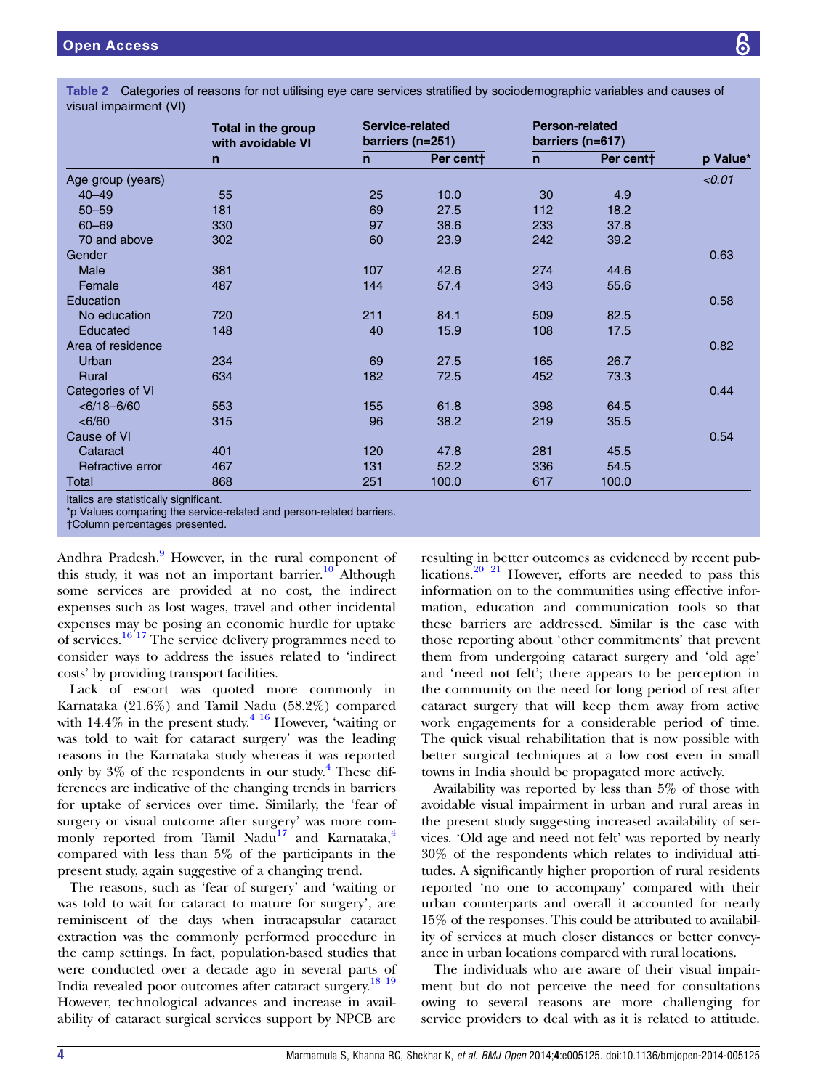<span id="page-3-0"></span>Table 2 Categories of reasons for not utilising eye care services stratified by sociodemographic variables and causes of visual impairment (VI)

|                   | Total in the group<br>with avoidable VI<br>$\mathsf{n}$ | Service-related<br>barriers (n=251) |           | <b>Person-related</b><br>barriers (n=617) |           |          |
|-------------------|---------------------------------------------------------|-------------------------------------|-----------|-------------------------------------------|-----------|----------|
|                   |                                                         | $\mathsf{n}$                        | Per cent+ | $\mathsf{n}$                              | Per centt | p Value* |
| Age group (years) |                                                         |                                     |           |                                           |           | < 0.01   |
| $40 - 49$         | 55                                                      | 25                                  | 10.0      | 30                                        | 4.9       |          |
| $50 - 59$         | 181                                                     | 69                                  | 27.5      | 112                                       | 18.2      |          |
| $60 - 69$         | 330                                                     | 97                                  | 38.6      | 233                                       | 37.8      |          |
| 70 and above      | 302                                                     | 60                                  | 23.9      | 242                                       | 39.2      |          |
| Gender            |                                                         |                                     |           |                                           |           | 0.63     |
| <b>Male</b>       | 381                                                     | 107                                 | 42.6      | 274                                       | 44.6      |          |
| Female            | 487                                                     | 144                                 | 57.4      | 343                                       | 55.6      |          |
| Education         |                                                         |                                     |           |                                           |           | 0.58     |
| No education      | 720                                                     | 211                                 | 84.1      | 509                                       | 82.5      |          |
| Educated          | 148                                                     | 40                                  | 15.9      | 108                                       | 17.5      |          |
| Area of residence |                                                         |                                     |           |                                           |           | 0.82     |
| Urban             | 234                                                     | 69                                  | 27.5      | 165                                       | 26.7      |          |
| Rural             | 634                                                     | 182                                 | 72.5      | 452                                       | 73.3      |          |
| Categories of VI  |                                                         |                                     |           |                                           |           | 0.44     |
| $<$ 6/18-6/60     | 553                                                     | 155                                 | 61.8      | 398                                       | 64.5      |          |
| <6/60             | 315                                                     | 96                                  | 38.2      | 219                                       | 35.5      |          |
| Cause of VI       |                                                         |                                     |           |                                           |           | 0.54     |
| Cataract          | 401                                                     | 120                                 | 47.8      | 281                                       | 45.5      |          |
| Refractive error  | 467                                                     | 131                                 | 52.2      | 336                                       | 54.5      |          |
| <b>Total</b>      | 868                                                     | 251                                 | 100.0     | 617                                       | 100.0     |          |

Italics are statistically significant.

†Column percentages presented.

Andhra Pradesh.<sup>[9](#page-4-0)</sup> However, in the rural component of this study, it was not an important barrier.<sup>10</sup> Although some services are provided at no cost, the indirect expenses such as lost wages, travel and other incidental expenses may be posing an economic hurdle for uptake of services.[16 17](#page-4-0) The service delivery programmes need to consider ways to address the issues related to 'indirect costs' by providing transport facilities.

Lack of escort was quoted more commonly in Karnataka (21.6%) and Tamil Nadu (58.2%) compared with  $14.4\%$  in the present study.<sup>[4 16](#page-4-0)</sup> However, 'waiting or was told to wait for cataract surgery' was the leading reasons in the Karnataka study whereas it was reported only by  $3\%$  of the respondents in our study.<sup>4</sup> These differences are indicative of the changing trends in barriers for uptake of services over time. Similarly, the 'fear of surgery or visual outcome after surgery' was more com-monly reported from Tamil Nadu<sup>[17](#page-4-0)</sup> and Karnataka,<sup>[4](#page-4-0)</sup> compared with less than 5% of the participants in the present study, again suggestive of a changing trend.

The reasons, such as 'fear of surgery' and 'waiting or was told to wait for cataract to mature for surgery', are reminiscent of the days when intracapsular cataract extraction was the commonly performed procedure in the camp settings. In fact, population-based studies that were conducted over a decade ago in several parts of India revealed poor outcomes after cataract surgery.<sup>[18 19](#page-4-0)</sup> However, technological advances and increase in availability of cataract surgical services support by NPCB are

resulting in better outcomes as evidenced by recent publications.<sup>20</sup> <sup>21</sup> However, efforts are needed to pass this information on to the communities using effective information, education and communication tools so that these barriers are addressed. Similar is the case with those reporting about 'other commitments' that prevent them from undergoing cataract surgery and 'old age' and 'need not felt'; there appears to be perception in the community on the need for long period of rest after cataract surgery that will keep them away from active work engagements for a considerable period of time. The quick visual rehabilitation that is now possible with better surgical techniques at a low cost even in small towns in India should be propagated more actively.

Availability was reported by less than 5% of those with avoidable visual impairment in urban and rural areas in the present study suggesting increased availability of services. 'Old age and need not felt' was reported by nearly 30% of the respondents which relates to individual attitudes. A significantly higher proportion of rural residents reported 'no one to accompany' compared with their urban counterparts and overall it accounted for nearly 15% of the responses. This could be attributed to availability of services at much closer distances or better conveyance in urban locations compared with rural locations.

The individuals who are aware of their visual impairment but do not perceive the need for consultations owing to several reasons are more challenging for service providers to deal with as it is related to attitude.

<sup>\*</sup>p Values comparing the service-related and person-related barriers.